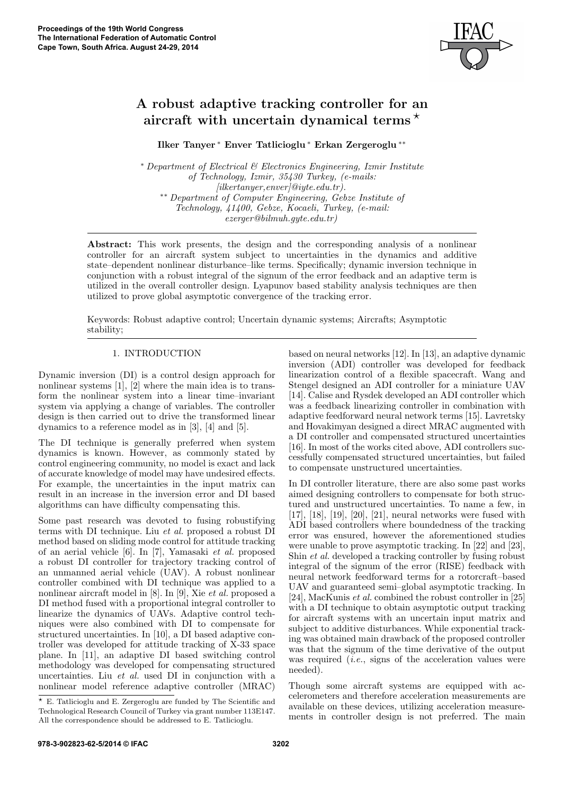

# A robust adaptive tracking controller for an aircraft with uncertain dynamical terms<sup> $\star$ </sup>

Ilker Tanyer <sup>∗</sup> Enver Tatlicioglu <sup>∗</sup> Erkan Zergeroglu ∗∗

<sup>∗</sup> Department of Electrical & Electronics Engineering, Izmir Institute of Technology, Izmir, 35430 Turkey, (e-mails:  $[i\text{lkertanyer}, enver]$ @iyte.edu.tr). ∗∗ Department of Computer Engineering, Gebze Institute of Technology, 41400, Gebze, Kocaeli, Turkey, (e-mail: ezerger@bilmuh.gyte.edu.tr)

Abstract: This work presents, the design and the corresponding analysis of a nonlinear controller for an aircraft system subject to uncertainties in the dynamics and additive state–dependent nonlinear disturbance–like terms. Specifically; dynamic inversion technique in conjunction with a robust integral of the signum of the error feedback and an adaptive term is utilized in the overall controller design. Lyapunov based stability analysis techniques are then utilized to prove global asymptotic convergence of the tracking error.

Keywords: Robust adaptive control; Uncertain dynamic systems; Aircrafts; Asymptotic stability;

## 1. INTRODUCTION

Dynamic inversion (DI) is a control design approach for nonlinear systems [1], [2] where the main idea is to transform the nonlinear system into a linear time–invariant system via applying a change of variables. The controller design is then carried out to drive the transformed linear dynamics to a reference model as in [3], [4] and [5].

The DI technique is generally preferred when system dynamics is known. However, as commonly stated by control engineering community, no model is exact and lack of accurate knowledge of model may have undesired effects. For example, the uncertainties in the input matrix can result in an increase in the inversion error and DI based algorithms can have difficulty compensating this.

Some past research was devoted to fusing robustifying terms with DI technique. Liu et al. proposed a robust DI method based on sliding mode control for attitude tracking of an aerial vehicle [6]. In [7], Yamasaki et al. proposed a robust DI controller for trajectory tracking control of an unmanned aerial vehicle (UAV). A robust nonlinear controller combined with DI technique was applied to a nonlinear aircraft model in [8]. In [9], Xie et al. proposed a DI method fused with a proportional integral controller to linearize the dynamics of UAVs. Adaptive control techniques were also combined with DI to compensate for structured uncertainties. In [10], a DI based adaptive controller was developed for attitude tracking of X-33 space plane. In [11], an adaptive DI based switching control methodology was developed for compensating structured uncertainties. Liu et al. used DI in conjunction with a nonlinear model reference adaptive controller (MRAC)

based on neural networks [12]. In [13], an adaptive dynamic inversion (ADI) controller was developed for feedback linearization control of a flexible spacecraft. Wang and Stengel designed an ADI controller for a miniature UAV [14]. Calise and Rysdek developed an ADI controller which was a feedback linearizing controller in combination with adaptive feedforward neural network terms [15]. Lavretsky and Hovakimyan designed a direct MRAC augmented with a DI controller and compensated structured uncertainties [16]. In most of the works cited above, ADI controllers successfully compensated structured uncertainties, but failed to compensate unstructured uncertainties.

In DI controller literature, there are also some past works aimed designing controllers to compensate for both structured and unstructured uncertainties. To name a few, in [17], [18], [19], [20], [21], neural networks were fused with ADI based controllers where boundedness of the tracking error was ensured, however the aforementioned studies were unable to prove asymptotic tracking. In [22] and [23], Shin et al. developed a tracking controller by fusing robust integral of the signum of the error (RISE) feedback with neural network feedforward terms for a rotorcraft–based UAV and guaranteed semi–global asymptotic tracking. In [24], MacKunis et al. combined the robust controller in [25] with a DI technique to obtain asymptotic output tracking for aircraft systems with an uncertain input matrix and subject to additive disturbances. While exponential tracking was obtained main drawback of the proposed controller was that the signum of the time derivative of the output was required  $(i.e.,$  signs of the acceleration values were needed).

Though some aircraft systems are equipped with accelerometers and therefore acceleration measurements are available on these devices, utilizing acceleration measurements in controller design is not preferred. The main

 $*$  E. Tatlicioglu and E. Zergeroglu are funded by The Scientific and Technological Research Council of Turkey via grant number 113E147. All the correspondence should be addressed to E. Tatlicioglu.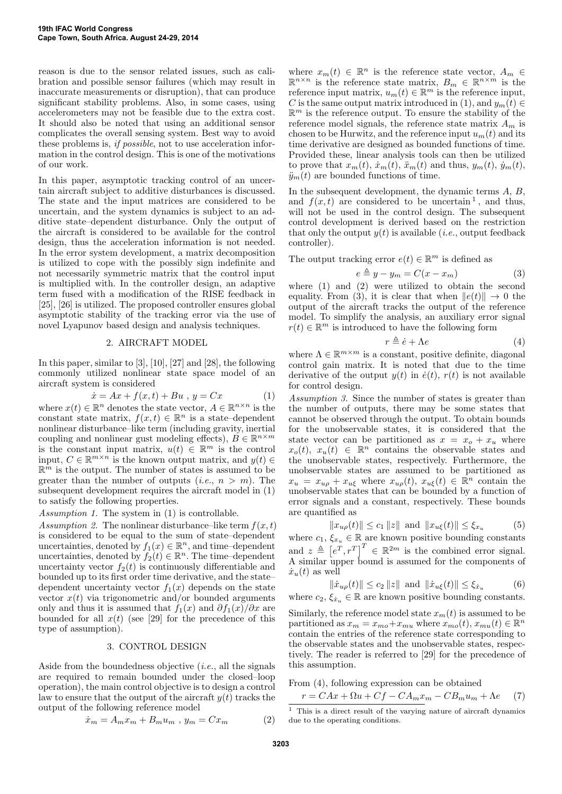reason is due to the sensor related issues, such as calibration and possible sensor failures (which may result in inaccurate measurements or disruption), that can produce significant stability problems. Also, in some cases, using accelerometers may not be feasible due to the extra cost. It should also be noted that using an additional sensor complicates the overall sensing system. Best way to avoid these problems is, if possible, not to use acceleration information in the control design. This is one of the motivations of our work.

In this paper, asymptotic tracking control of an uncertain aircraft subject to additive disturbances is discussed. The state and the input matrices are considered to be uncertain, and the system dynamics is subject to an additive state–dependent disturbance. Only the output of the aircraft is considered to be available for the control design, thus the acceleration information is not needed. In the error system development, a matrix decomposition is utilized to cope with the possibly sign indefinite and not necessarily symmetric matrix that the control input is multiplied with. In the controller design, an adaptive term fused with a modification of the RISE feedback in [25], [26] is utilized. The proposed controller ensures global asymptotic stability of the tracking error via the use of novel Lyapunov based design and analysis techniques.

#### 2. AIRCRAFT MODEL

In this paper, similar to [3], [10], [27] and [28], the following commonly utilized nonlinear state space model of an aircraft system is considered

$$
\dot{x} = Ax + f(x, t) + Bu, \ y = Cx \tag{1}
$$

where  $x(t) \in \mathbb{R}^n$  denotes the state vector,  $A \in \mathbb{R}^{n \times n}$  is the constant state matrix,  $f(x,t) \in \mathbb{R}^n$  is a state-dependent nonlinear disturbance–like term (including gravity, inertial coupling and nonlinear gust modeling effects),  $B \in \mathbb{R}^{n \times m}$ is the constant input matrix,  $u(t) \in \mathbb{R}^m$  is the control input,  $C \in \mathbb{R}^{m \times n}$  is the known output matrix, and  $y(t) \in$  $\mathbb{R}^m$  is the output. The number of states is assumed to be greater than the number of outputs (*i.e.*,  $n > m$ ). The subsequent development requires the aircraft model in (1) to satisfy the following properties.

Assumption 1. The system in (1) is controllable.

Assumption 2. The nonlinear disturbance–like term  $f(x, t)$ is considered to be equal to the sum of state–dependent uncertainties, denoted by  $f_1(x) \in \mathbb{R}^n$ , and time–dependent uncertainties, denoted by  $f_2(t) \in \mathbb{R}^n$ . The time–dependent uncertainty vector  $f_2(t)$  is continuously differentiable and bounded up to its first order time derivative, and the state– dependent uncertainty vector  $f_1(x)$  depends on the state vector  $x(t)$  via trigonometric and/or bounded arguments only and thus it is assumed that  $f_1(x)$  and  $\partial f_1(x)/\partial x$  are bounded for all  $x(t)$  (see [29] for the precedence of this type of assumption).

## 3. CONTROL DESIGN

Aside from the boundedness objective  $(i.e.,$  all the signals are required to remain bounded under the closed–loop operation), the main control objective is to design a control law to ensure that the output of the aircraft  $y(t)$  tracks the output of the following reference model

$$
\dot{x}_m = A_m x_m + B_m u_m \, , \, y_m = C x_m \tag{2}
$$

where  $x_m(t) \in \mathbb{R}^n$  is the reference state vector,  $A_m \in$  $\mathbb{R}^{n \times n}$  is the reference state matrix,  $B_m \in \mathbb{R}^{n \times m}$  is the reference input matrix,  $u_m(t) \in \mathbb{R}^m$  is the reference input, C is the same output matrix introduced in (1), and  $y_m(t) \in$  $\mathbb{R}^m$  is the reference output. To ensure the stability of the reference model signals, the reference state matrix  $A_m$  is chosen to be Hurwitz, and the reference input  $u_m(t)$  and its time derivative are designed as bounded functions of time. Provided these, linear analysis tools can then be utilized to prove that  $x_m(t)$ ,  $\dot{x}_m(t)$ ,  $\ddot{x}_m(t)$  and thus,  $y_m(t)$ ,  $\dot{y}_m(t)$ ,  $\ddot{y}_m(t)$  are bounded functions of time.

In the subsequent development, the dynamic terms  $A, B$ , and  $f(x, t)$  are considered to be uncertain<sup>1</sup>, and thus, will not be used in the control design. The subsequent control development is derived based on the restriction that only the output  $y(t)$  is available (*i.e.*, output feedback controller).

The output tracking error  $e(t) \in \mathbb{R}^m$  is defined as

$$
e \triangleq y - y_m = C(x - x_m) \tag{3}
$$

where (1) and (2) were utilized to obtain the second equality. From (3), it is clear that when  $||e(t)|| \rightarrow 0$  the output of the aircraft tracks the output of the reference model. To simplify the analysis, an auxiliary error signal  $r(t) \in \mathbb{R}^m$  is introduced to have the following form

$$
r \triangleq \dot{e} + \Lambda e \tag{4}
$$

where  $\Lambda \in \mathbb{R}^{m \times m}$  is a constant, positive definite, diagonal control gain matrix. It is noted that due to the time derivative of the output  $y(t)$  in  $\dot{e}(t)$ ,  $r(t)$  is not available for control design.

Assumption 3. Since the number of states is greater than the number of outputs, there may be some states that cannot be observed through the output. To obtain bounds for the unobservable states, it is considered that the state vector can be partitioned as  $x = x_o + x_u$  where  $x_o(t), x_u(t) \in \mathbb{R}^n$  contains the observable states and the unobservable states, respectively. Furthermore, the unobservable states are assumed to be partitioned as  $x_u = x_{u\rho} + x_{u\xi}$  where  $x_{u\rho}(t)$ ,  $x_{u\xi}(t) \in \mathbb{R}^n$  contain the unobservable states that can be bounded by a function of error signals and a constant, respectively. These bounds are quantified as

$$
||x_{u\rho}(t)|| \leq c_1 ||z||
$$
 and  $||x_{u\xi}(t)|| \leq \xi_{x_u}$  (5)

where  $c_1, \xi_{x_u} \in \mathbb{R}$  are known positive bounding constants and  $z \triangleq [e^T, r^T]^T \in \mathbb{R}^{2m}$  is the combined error signal. A similar upper bound is assumed for the components of  $\dot{x}_u(t)$  as well

$$
\|\dot{x}_{u\rho}(t)\| \le c_2 \|z\| \text{ and } \|\dot{x}_{u\xi}(t)\| \le \xi_{\dot{x}_u}
$$
 (6)

where 
$$
c_2, \xi_{\dot{x}_u} \in \mathbb{R}
$$
 are known positive bounding constants.

Similarly, the reference model state  $x_m(t)$  is assumed to be partitioned as  $x_m = x_{mo} + x_{mu}$  where  $x_{mo}(t)$ ,  $x_{mu}(t) \in \mathbb{R}^n$ contain the entries of the reference state corresponding to the observable states and the unobservable states, respectively. The reader is referred to [29] for the precedence of this assumption.

From (4), following expression can be obtained

$$
r = CAx + \Omega u + Cf - CA_m x_m - CB_m u_m + \Lambda e \tag{7}
$$

 $^{\rm 1}$  This is a direct result of the varying nature of aircraft dynamics due to the operating conditions.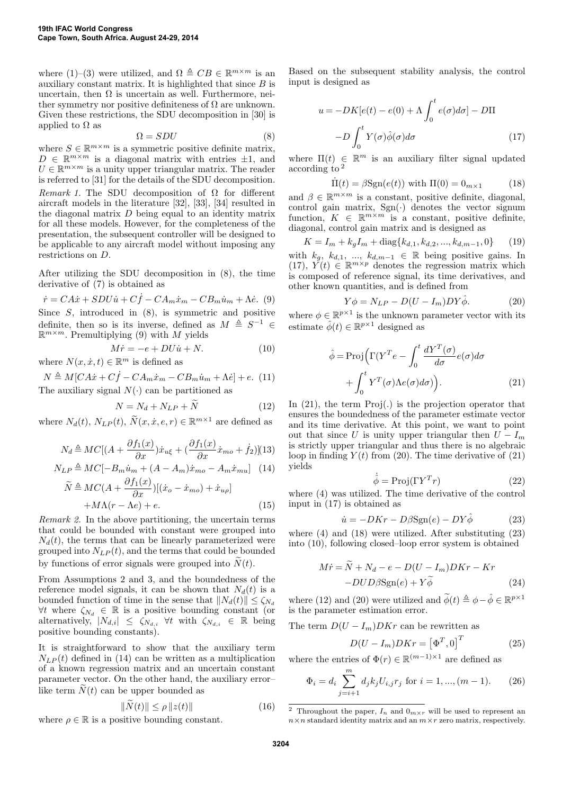where (1)–(3) were utilized, and  $\Omega \triangleq CB \in \mathbb{R}^{m \times m}$  is an auxiliary constant matrix. It is highlighted that since  $B$  is uncertain, then  $\Omega$  is uncertain as well. Furthermore, neither symmetry nor positive definiteness of  $\Omega$  are unknown. Given these restrictions, the SDU decomposition in [30] is applied to  $\Omega$  as

$$
\Omega = SDU \tag{8}
$$

where  $S \in \mathbb{R}^{m \times m}$  is a symmetric positive definite matrix,  $D \in \mathbb{R}^{m \times m}$  is a diagonal matrix with entries  $\pm 1$ , and  $U \in \mathbb{R}^{m \times m}$  is a unity upper triangular matrix. The reader is referred to [31] for the details of the SDU decomposition. Remark 1. The SDU decomposition of  $\Omega$  for different aircraft models in the literature [32], [33], [34] resulted in the diagonal matrix D being equal to an identity matrix for all these models. However, for the completeness of the presentation, the subsequent controller will be designed to be applicable to any aircraft model without imposing any restrictions on D.

After utilizing the SDU decomposition in (8), the time derivative of  $(7)$  is obtained as

 $\dot{r} = CA\dot{x} + SDU\dot{u} + C\dot{f} - CA_m\dot{x}_m - CB_m\dot{u}_m + \Lambda\dot{e}$ . (9) Since  $S$ , introduced in  $(8)$ , is symmetric and positive definite, then so is its inverse, defined as  $M \triangleq S^{-1} \in$  $\mathbb{R}^{m \times m}$ . Premultiplying (9) with M yields

$$
M\dot{r} = -e + DU\dot{u} + N.\t(10)
$$

where  $N(x, \dot{x}, t) \in \mathbb{R}^m$  is defined as

 $N \triangleq M[CA\dot{x} + C\dot{f} - CA_m\dot{x}_m - CB_m\dot{u}_m + \Lambda\dot{e}] + e.$  (11) The auxiliary signal  $N(\cdot)$  can be partitioned as

$$
N = N_d + N_{LP} + \tilde{N}
$$
 (12)

where  $N_d(t)$ ,  $N_{LP}(t)$ ,  $\tilde{N}(x, \dot{x}, e, r) \in \mathbb{R}^{m \times 1}$  are defined as

$$
N_d \triangleq MC[(A + \frac{\partial f_1(x)}{\partial x})\dot{x}_{u\xi} + (\frac{\partial f_1(x)}{\partial x}\dot{x}_{mo} + \dot{f}_2)](13)
$$

$$
N_{LP} \triangleq MC[-B_m\dot{u}_m + (A - A_m)\dot{x}_{mo} - A_m\dot{x}_{mu}] \tag{14}
$$

$$
\widetilde{N} \triangleq MC(A + \frac{\partial f_1(x)}{\partial x})[(\dot{x}_o - \dot{x}_{mo}) + \dot{x}_{u\rho}] + M\Lambda(r - \Lambda e) + e.
$$
\n(15)

Remark 2. In the above partitioning, the uncertain terms that could be bounded with constant were grouped into  $N_d(t)$ , the terms that can be linearly parameterized were grouped into  $N_{LP}(t)$ , and the terms that could be bounded by functions of error signals were grouped into  $\tilde{N}(t)$ .

From Assumptions 2 and 3, and the boundedness of the reference model signals, it can be shown that  $N_d(t)$  is a bounded function of time in the sense that  $||N_d(t)|| \leq \zeta_{N_d}$  $\forall t$  where  $\zeta_{N_d}$  ∈ ℝ is a positive bounding constant (or alternatively,  $|N_{d,i}| \leq \zeta_{N_{d,i}} \forall t$  with  $\zeta_{N_{d,i}} \in \mathbb{R}$  being positive bounding constants).

It is straightforward to show that the auxiliary term  $N_{LP}(t)$  defined in (14) can be written as a multiplication of a known regression matrix and an uncertain constant parameter vector. On the other hand, the auxiliary error– like term  $N(t)$  can be upper bounded as

$$
\|\widetilde{N}(t)\| \le \rho \|z(t)\| \tag{16}
$$

where  $\rho \in \mathbb{R}$  is a positive bounding constant.

Based on the subsequent stability analysis, the control input is designed as

$$
u = -DK[e(t) - e(0) + \Lambda \int_0^t e(\sigma)d\sigma] - D\Pi
$$

$$
-D\int_0^t Y(\sigma)\hat{\phi}(\sigma)d\sigma \qquad (17)
$$

where  $\Pi(t) \in \mathbb{R}^m$  is an auxiliary filter signal updated according to <sup>2</sup>

$$
\dot{\Pi}(t) = \beta \text{Sgn}(e(t)) \text{ with } \Pi(0) = 0_{m \times 1} \tag{18}
$$

and  $\beta \in \mathbb{R}^{m \times m}$  is a constant, positive definite, diagonal, control gain matrix,  $Sgn(\cdot)$  denotes the vector signum function,  $K \in \mathbb{R}^{m \times m}$  is a constant, positive definite, diagonal, control gain matrix and is designed as

$$
K = I_m + k_g I_m + \text{diag}\{k_{d,1}, k_{d,2}, ..., k_{d,m-1}, 0\} \tag{19}
$$

with  $k_g$ ,  $k_{d,1}$ , ...,  $k_{d,m-1} \in \mathbb{R}$  being positive gains. In (17),  $Y(t) \in \mathbb{R}^{m \times p}$  denotes the regression matrix which is composed of reference signal, its time derivatives, and other known quantities, and is defined from

$$
Y\phi = N_{LP} - D(U - I_m)DY\hat{\phi}.
$$
 (20)

where  $\phi \in \mathbb{R}^{p \times 1}$  is the unknown parameter vector with its estimate  $\hat{\phi}(t) \in \mathbb{R}^{p \times 1}$  designed as

$$
\hat{\phi} = \text{Proj}\Big(\Gamma(Y^T e - \int_0^t \frac{dY^T(\sigma)}{d\sigma} e(\sigma) d\sigma + \int_0^t Y^T(\sigma) \Lambda e(\sigma) d\sigma)\Big). \tag{21}
$$

In  $(21)$ , the term  $Proj(.)$  is the projection operator that ensures the boundedness of the parameter estimate vector and its time derivative. At this point, we want to point out that since U is unity upper triangular then  $U - I_m$ is strictly upper triangular and thus there is no algebraic loop in finding  $Y(t)$  from (20). The time derivative of (21) yields

$$
\dot{\hat{\phi}} = \text{Proj}(\Gamma Y^T r) \tag{22}
$$

where (4) was utilized. The time derivative of the control input in (17) is obtained as

$$
\dot{u} = -DKr - D\beta \text{Sgn}(e) - DY\hat{\phi} \tag{23}
$$

where (4) and (18) were utilized. After substituting (23) into (10), following closed–loop error system is obtained

$$
M\dot{r} = \tilde{N} + N_d - e - D(U - I_m)DKr - Kr - DUD\beta \text{Sgn}(e) + Y\tilde{\phi}
$$
 (24)

where (12) and (20) were utilized and  $\widetilde{\phi}(t) \triangleq \phi - \hat{\phi} \in \mathbb{R}^{p \times 1}$ is the parameter estimation error.

The term  $D(U - I_m)DKr$  can be rewritten as

$$
D(U - I_m)DKr = \left[\Phi^T, 0\right]^T \tag{25}
$$

where the entries of  $\Phi(r) \in \mathbb{R}^{(m-1)\times 1}$  are defined as

$$
\Phi_i = d_i \sum_{j=i+1}^{m} d_j k_j U_{i,j} r_j \text{ for } i = 1, ..., (m-1). \tag{26}
$$

<sup>&</sup>lt;sup>2</sup> Throughout the paper,  $I_n$  and  $0_{m \times r}$  will be used to represent an  $n \times n$  standard identity matrix and an  $m \times r$  zero matrix, respectively.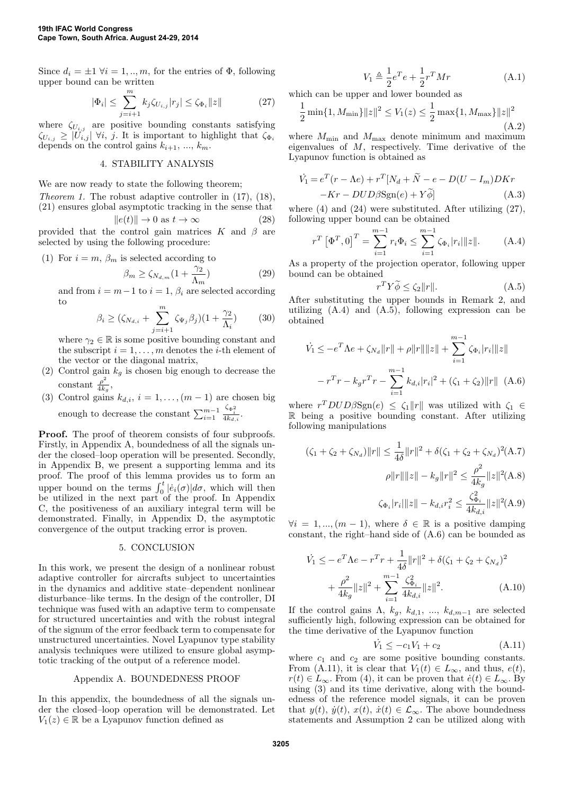Since  $d_i = \pm 1 \ \forall i = 1, ..., m$ , for the entries of  $\Phi$ , following upper bound can be written

$$
|\Phi_i| \le \sum_{j=i+1}^m k_j \zeta_{U_{i,j}} |r_j| \le \zeta_{\Phi_i} ||z|| \tag{27}
$$

where  $\zeta_{U_{i,j}}$  are positive bounding constants satisfying  $\zeta_{U_{i,j}} \geq |U_{i,j}| \; \forall i, j.$  It is important to highlight that  $\zeta_{\Phi_i}$ depends on the control gains  $k_{i+1}, ..., k_m$ .

## 4. STABILITY ANALYSIS

We are now ready to state the following theorem;

Theorem 1. The robust adaptive controller in (17), (18), (21) ensures global asymptotic tracking in the sense that

$$
||e(t)|| \to 0 \text{ as } t \to \infty \tag{28}
$$

provided that the control gain matrices K and  $\beta$  are selected by using the following procedure:

(1) For 
$$
i = m
$$
,  $\beta_m$  is selected according to

$$
\beta_m \ge \zeta_{N_{d,m}} (1 + \frac{\gamma_2}{\Lambda_m}) \tag{29}
$$

and from  $i = m-1$  to  $i = 1, \beta_i$  are selected according to

$$
\beta_i \ge (\zeta_{N_{d,i}} + \sum_{j=i+1}^m \zeta_{\Psi_j} \beta_j)(1 + \frac{\gamma_2}{\Lambda_i}) \tag{30}
$$

where  $\gamma_2 \in \mathbb{R}$  is some positive bounding constant and the subscript  $i = 1, \ldots, m$  denotes the *i*-th element of the vector or the diagonal matrix,

- (2) Control gain  $k_g$  is chosen big enough to decrease the constant  $\frac{\rho^2}{4k}$  $\frac{\rho^-}{4k_g},$
- (3) Control gains  $k_{d,i}$ ,  $i = 1, ..., (m-1)$  are chosen big enough to decrease the constant  $\sum_{i=1}^{m-1}$  $\frac{\zeta_{\Phi_i^2}}{4k_{d,i}}$ .

Proof. The proof of theorem consists of four subproofs. Firstly, in Appendix A, boundedness of all the signals under the closed–loop operation will be presented. Secondly, in Appendix B, we present a supporting lemma and its proof. The proof of this lemma provides us to form an upper bound on the terms  $\int_0^t |\dot{e}_i(\sigma)| d\sigma$ , which will then be utilized in the next part of the proof. In Appendix C, the positiveness of an auxiliary integral term will be demonstrated. Finally, in Appendix D, the asymptotic convergence of the output tracking error is proven.

#### 5. CONCLUSION

In this work, we present the design of a nonlinear robust adaptive controller for aircrafts subject to uncertainties in the dynamics and additive state–dependent nonlinear disturbance–like terms. In the design of the controller, DI technique was fused with an adaptive term to compensate for structured uncertainties and with the robust integral of the signum of the error feedback term to compensate for unstructured uncertainties. Novel Lyapunov type stability analysis techniques were utilized to ensure global asymptotic tracking of the output of a reference model.

#### Appendix A. BOUNDEDNESS PROOF

In this appendix, the boundedness of all the signals under the closed–loop operation will be demonstrated. Let  $V_1(z) \in \mathbb{R}$  be a Lyapunov function defined as

$$
V_1 \triangleq \frac{1}{2}e^T e + \frac{1}{2}r^T M r \tag{A.1}
$$

which can be upper and lower bounded as

$$
\frac{1}{2}\min\{1, M_{\min}\}\|z\|^2 \le V_1(z) \le \frac{1}{2}\max\{1, M_{\max}\}\|z\|^2
$$
\n(A.2)

where  $M_{\text{min}}$  and  $M_{\text{max}}$  denote minimum and maximum eigenvalues of M, respectively. Time derivative of the Lyapunov function is obtained as

$$
\dot{V}_1 = e^T(r - \Lambda e) + r^T [N_d + \tilde{N} - e - D(U - I_m)DKr \n-Kr - DUD\beta \text{Sgn}(e) + Y\tilde{\phi}]
$$
\n(A.3)

where  $(4)$  and  $(24)$  were substituted. After utilizing  $(27)$ , following upper bound can be obtained

$$
r^T \left[ \Phi^T, 0 \right]^T = \sum_{i=1}^{m-1} r_i \Phi_i \le \sum_{i=1}^{m-1} \zeta_{\Phi_i} |r_i| \|z\|. \tag{A.4}
$$

As a property of the projection operator, following upper bound can be obtained

$$
r^T Y \widetilde{\phi} \le \zeta_2 \|r\|.\tag{A.5}
$$

After substituting the upper bounds in Remark 2, and utilizing (A.4) and (A.5), following expression can be obtained

$$
\dot{V}_1 \le -e^T \Lambda e + \zeta_{N_d} ||r|| + \rho ||r|| ||z|| + \sum_{i=1}^{m-1} \zeta_{\Phi_i} |r_i|| |z||
$$

$$
-r^T r - k_g r^T r - \sum_{i=1}^{m-1} k_{d,i} |r_i|^2 + (\zeta_1 + \zeta_2) ||r|| \quad (A.6)
$$

where  $r^T D U D \beta \text{Sgn}(e) \leq \zeta_1 ||r||$  was utilized with  $\zeta_1 \in$ R being a positive bounding constant. After utilizing following manipulations

$$
(\zeta_1 + \zeta_2 + \zeta_{N_d}) ||r|| \le \frac{1}{4\delta} ||r||^2 + \delta(\zeta_1 + \zeta_2 + \zeta_{N_d})^2 (\mathbf{A}.\mathbf{7})
$$

$$
\rho ||r|| ||z|| - k_g ||r||^2 \le \frac{\rho^2}{4k_g} ||z||^2 (\mathbf{A}.\mathbf{8})
$$

$$
\zeta_{\Phi_i} |r_i| ||z|| - k_{d,i} r_i^2 \le \frac{\zeta_{\Phi_i}^2}{4k_{d,i}} ||z||^2 (\mathbf{A}.\mathbf{9})
$$

 $\forall i = 1, ..., (m-1)$ , where  $\delta \in \mathbb{R}$  is a positive damping constant, the right–hand side of (A.6) can be bounded as

$$
\dot{V}_1 \leq -e^T \Lambda e - r^T r + \frac{1}{4\delta} ||r||^2 + \delta(\zeta_1 + \zeta_2 + \zeta_{N_d})^2
$$

$$
+ \frac{\rho^2}{4k_g} ||z||^2 + \sum_{i=1}^{m-1} \frac{\zeta_{\Phi_i}^2}{4k_{d,i}} ||z||^2. \tag{A.10}
$$

If the control gains  $\Lambda$ ,  $k_q$ ,  $k_{d,1}$ , ...,  $k_{d,m-1}$  are selected sufficiently high, following expression can be obtained for the time derivative of the Lyapunov function

$$
\dot{V}_1 \le -c_1 V_1 + c_2 \tag{A.11}
$$

where  $c_1$  and  $c_2$  are some positive bounding constants. From (A.11), it is clear that  $V_1(t) \in L_{\infty}$ , and thus,  $e(t)$ ,  $r(t) \in L_{\infty}$ . From (4), it can be proven that  $\dot{e}(t) \in L_{\infty}$ . By using (3) and its time derivative, along with the boundedness of the reference model signals, it can be proven that  $y(t)$ ,  $\dot{y}(t)$ ,  $\dot{x}(t) \in \mathcal{L}_{\infty}$ . The above boundedness statements and Assumption 2 can be utilized along with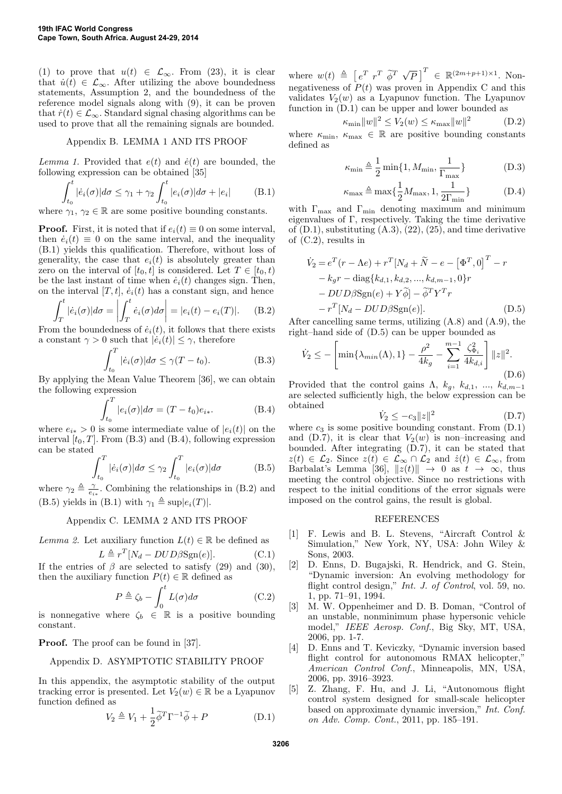(1) to prove that  $u(t) \in \mathcal{L}_{\infty}$ . From (23), it is clear that  $\dot{u}(t) \in \mathcal{L}_{\infty}$ . After utilizing the above boundedness statements, Assumption 2, and the boundedness of the reference model signals along with (9), it can be proven that  $\dot{r}(t) \in \mathcal{L}_{\infty}$ . Standard signal chasing algorithms can be used to prove that all the remaining signals are bounded.

#### Appendix B. LEMMA 1 AND ITS PROOF

Lemma 1. Provided that  $e(t)$  and  $\dot{e}(t)$  are bounded, the following expression can be obtained [35]

$$
\int_{t_0}^t |\dot{e}_i(\sigma)| d\sigma \le \gamma_1 + \gamma_2 \int_{t_0}^t |e_i(\sigma)| d\sigma + |e_i| \tag{B.1}
$$

where  $\gamma_1, \gamma_2 \in \mathbb{R}$  are some positive bounding constants.

**Proof.** First, it is noted that if  $e_i(t) \equiv 0$  on some interval, then  $\dot{e}_i(t) \equiv 0$  on the same interval, and the inequality (B.1) yields this qualification. Therefore, without loss of generality, the case that  $e_i(t)$  is absolutely greater than zero on the interval of  $[t_0, t]$  is considered. Let  $T \in [t_0, t]$ be the last instant of time when  $\dot{e}_i(t)$  changes sign. Then, on the interval  $[T, t]$ ,  $\dot{e}_i(t)$  has a constant sign, and hence

$$
\int_{T}^{t} |\dot{e}_i(\sigma)| d\sigma = \left| \int_{T}^{t} \dot{e}_i(\sigma) d\sigma \right| = |e_i(t) - e_i(T)|. \tag{B.2}
$$

From the boundedness of  $\dot{e}_i(t)$ , it follows that there exists a constant  $\gamma > 0$  such that  $|e_i(t)| \leq \gamma$ , therefore

$$
\int_{t_0}^{T} |\dot{e}_i(\sigma)| d\sigma \le \gamma (T - t_0). \tag{B.3}
$$

By applying the Mean Value Theorem [36], we can obtain the following expression

$$
\int_{t_0}^{T} |e_i(\sigma)| d\sigma = (T - t_0)e_{i*}.
$$
 (B.4)

where  $e_{i*} > 0$  is some intermediate value of  $|e_i(t)|$  on the interval  $[t_0, T]$ . From (B.3) and (B.4), following expression can be stated

$$
\int_{t_0}^{T} |\dot{e}_i(\sigma)| d\sigma \le \gamma_2 \int_{t_0}^{T} |e_i(\sigma)| d\sigma \tag{B.5}
$$

where  $\gamma_2 \triangleq \frac{\gamma}{e_{i*}}$ . Combining the relationships in (B.2) and (B.5) yields in (B.1) with  $\gamma_1 \triangleq \sup|e_i(T)|$ .

### Appendix C. LEMMA 2 AND ITS PROOF

Lemma 2. Let auxiliary function 
$$
L(t) \in \mathbb{R}
$$
 be defined as  
\n
$$
L \triangleq r^T [N_d - DUD \beta \text{Sgn}(e)].
$$
\n(C.1)

$$
\mathcal{L} \triangleq r^T [N_d - DUD\beta \text{Sgn}(e)]. \tag{C.1}
$$

If the entries of  $\beta$  are selected to satisfy (29) and (30), then the auxiliary function  $P(t) \in \mathbb{R}$  defined as

$$
P \triangleq \zeta_b - \int_0^t L(\sigma) d\sigma \tag{C.2}
$$

is nonnegative where  $\zeta_b \in \mathbb{R}$  is a positive bounding constant.

**Proof.** The proof can be found in [37].

## Appendix D. ASYMPTOTIC STABILITY PROOF

In this appendix, the asymptotic stability of the output tracking error is presented. Let  $V_2(w) \in \mathbb{R}$  be a Lyapunov function defined as

$$
V_2 \triangleq V_1 + \frac{1}{2} \tilde{\phi}^T \Gamma^{-1} \tilde{\phi} + P \tag{D.1}
$$

where  $w(t) \triangleq [e^T r^T \tilde{\phi}^T \sqrt{\phi^T}]$  $\overline{P}$ ]<sup>T</sup>  $\in \mathbb{R}^{(2m+p+1)\times 1}$ . Nonnegativeness of  $P(t)$  was proven in Appendix C and this validates  $V_2(w)$  as a Lyapunov function. The Lyapunov function in (D.1) can be upper and lower bounded as

$$
\kappa_{\min} \|w\|^2 \le V_2(w) \le \kappa_{\max} \|w\|^2 \tag{D.2}
$$

where  $\kappa_{\min}, \kappa_{\max} \in \mathbb{R}$  are positive bounding constants defined as

$$
\kappa_{\min} \triangleq \frac{1}{2} \min\{1, M_{\min}, \frac{1}{\Gamma_{\max}}\}\
$$
 (D.3)

$$
\kappa_{\max} \triangleq \max\left\{\frac{1}{2}M_{\max}, 1, \frac{1}{2\Gamma_{\min}}\right\} \tag{D.4}
$$

with  $\Gamma_{\text{max}}$  and  $\Gamma_{\text{min}}$  denoting maximum and minimum eigenvalues of Γ, respectively. Taking the time derivative of  $(D.1)$ , substituting  $(A.3)$ ,  $(22)$ ,  $(25)$ , and time derivative of (C.2), results in

$$
\dot{V}_2 = e^T(r - \Lambda e) + r^T [N_d + \tilde{N} - e - [\Phi^T, 0]^T - r
$$
  
\n
$$
-k_g r - \text{diag}\{k_{d,1}, k_{d,2}, ..., k_{d,m-1}, 0\}r
$$
  
\n
$$
- DUD\beta \text{Sgn}(e) + Y\tilde{\phi} - \tilde{\phi}^T Y^T r
$$
  
\n
$$
-r^T [N_d - DUD\beta \text{Sgn}(e)].
$$
\n(D.5)

After cancelling same terms, utilizing (A.8) and (A.9), the right–hand side of (D.5) can be upper bounded as

$$
\dot{V}_2 \le -\left[\min\{\lambda_{min}(\Lambda), 1\} - \frac{\rho^2}{4k_g} - \sum_{i=1}^{m-1} \frac{\zeta_{\Phi_i}^2}{4k_{d,i}}\right] \|z\|^2.
$$
\n(D.6)

Provided that the control gains  $\Lambda$ ,  $k_q$ ,  $k_{d,1}$ , ...,  $k_{d,m-1}$ are selected sufficiently high, the below expression can be obtained

$$
\dot{V}_2 \le -c_3 \|z\|^2 \tag{D.7}
$$

where  $c_3$  is some positive bounding constant. From  $(D.1)$ and (D.7), it is clear that  $V_2(w)$  is non–increasing and bounded. After integrating (D.7), it can be stated that  $z(t) \in \mathcal{L}_2$ . Since  $z(t) \in \mathcal{L}_{\infty} \cap \mathcal{L}_2$  and  $\dot{z}(t) \in \mathcal{L}_{\infty}$ , from Barbalat's Lemma [36],  $||z(t)|| \rightarrow 0$  as  $t \rightarrow \infty$ , thus meeting the control objective. Since no restrictions with respect to the initial conditions of the error signals were imposed on the control gains, the result is global.

#### REFERENCES

- [1] F. Lewis and B. L. Stevens, "Aircraft Control & Simulation," New York, NY, USA: John Wiley & Sons, 2003.
- [2] D. Enns, D. Bugajski, R. Hendrick, and G. Stein, "Dynamic inversion: An evolving methodology for flight control design," Int. J. of Control, vol. 59, no. 1, pp. 71–91, 1994.
- [3] M. W. Oppenheimer and D. B. Doman, "Control of an unstable, nonminimum phase hypersonic vehicle model," IEEE Aerosp. Conf., Big Sky, MT, USA, 2006, pp. 1-7.
- [4] D. Enns and T. Keviczky, "Dynamic inversion based flight control for autonomous RMAX helicopter," American Control Conf., Minneapolis, MN, USA, 2006, pp. 3916–3923.
- [5] Z. Zhang, F. Hu, and J. Li, "Autonomous flight control system designed for small-scale helicopter based on approximate dynamic inversion," Int. Conf. on Adv. Comp. Cont., 2011, pp. 185–191.